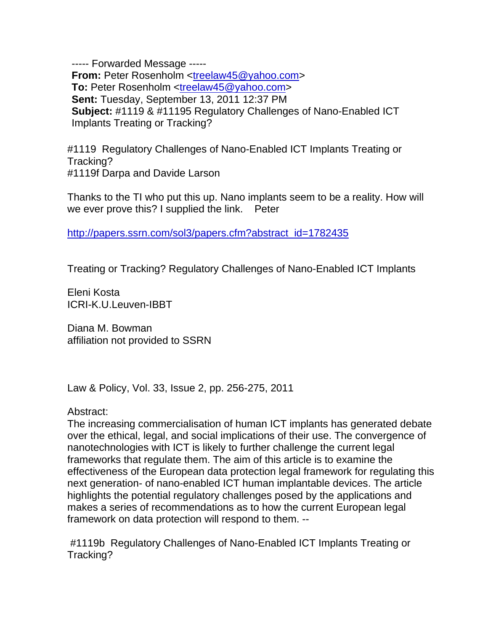----- Forwarded Message ----- **From:** Peter Rosenholm <treelaw45@yahoo.com> **To:** Peter Rosenholm <treelaw45@yahoo.com> **Sent:** Tuesday, September 13, 2011 12:37 PM **Subject:** #1119 & #11195 Regulatory Challenges of Nano-Enabled ICT Implants Treating or Tracking?

#1119 Regulatory Challenges of Nano-Enabled ICT Implants Treating or Tracking? #1119f Darpa and Davide Larson

Thanks to the TI who put this up. Nano implants seem to be a reality. How will we ever prove this? I supplied the link. Peter

http://papers.ssrn.com/sol3/papers.cfm?abstract\_id=1782435

Treating or Tracking? Regulatory Challenges of Nano-Enabled ICT Implants

Eleni Kosta ICRI-K.U.Leuven-IBBT

Diana M. Bowman affiliation not provided to SSRN

Law & Policy, Vol. 33, Issue 2, pp. 256-275, 2011

Abstract:

The increasing commercialisation of human ICT implants has generated debate over the ethical, legal, and social implications of their use. The convergence of nanotechnologies with ICT is likely to further challenge the current legal frameworks that regulate them. The aim of this article is to examine the effectiveness of the European data protection legal framework for regulating this next generation- of nano-enabled ICT human implantable devices. The article highlights the potential regulatory challenges posed by the applications and makes a series of recommendations as to how the current European legal framework on data protection will respond to them. --

 #1119b Regulatory Challenges of Nano-Enabled ICT Implants Treating or Tracking?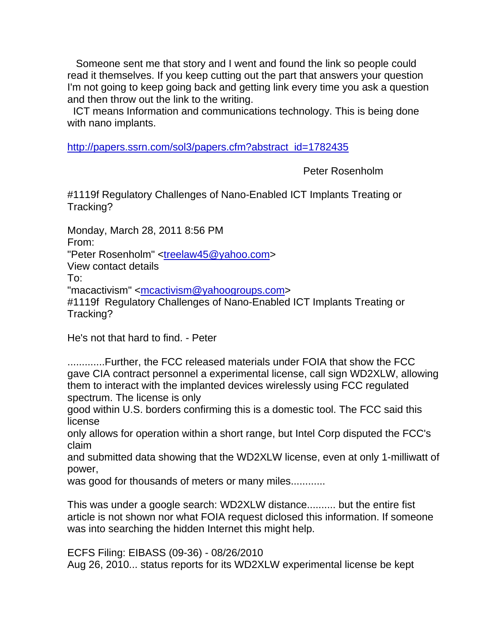Someone sent me that story and I went and found the link so people could read it themselves. If you keep cutting out the part that answers your question I'm not going to keep going back and getting link every time you ask a question and then throw out the link to the writing.

 ICT means Information and communications technology. This is being done with nano implants.

http://papers.ssrn.com/sol3/papers.cfm?abstract\_id=1782435

Peter Rosenholm

#1119f Regulatory Challenges of Nano-Enabled ICT Implants Treating or Tracking?

Monday, March 28, 2011 8:56 PM

From:

"Peter Rosenholm" <treelaw45@yahoo.com>

View contact details

To:

"macactivism" <mcactivism@yahoogroups.com>

#1119f Regulatory Challenges of Nano-Enabled ICT Implants Treating or Tracking?

He's not that hard to find. - Peter

.............Further, the FCC released materials under FOIA that show the FCC gave CIA contract personnel a experimental license, call sign WD2XLW, allowing them to interact with the implanted devices wirelessly using FCC regulated spectrum. The license is only

good within U.S. borders confirming this is a domestic tool. The FCC said this license

only allows for operation within a short range, but Intel Corp disputed the FCC's claim

and submitted data showing that the WD2XLW license, even at only 1-milliwatt of power,

was good for thousands of meters or many miles............

This was under a google search: WD2XLW distance.......... but the entire fist article is not shown nor what FOIA request diclosed this information. If someone was into searching the hidden Internet this might help.

ECFS Filing: EIBASS (09-36) - 08/26/2010 Aug 26, 2010... status reports for its WD2XLW experimental license be kept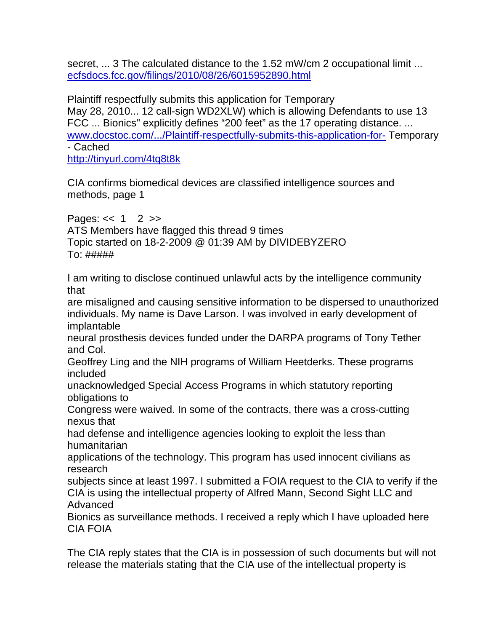secret, ... 3 The calculated distance to the 1.52 mW/cm 2 occupational limit ... ecfsdocs.fcc.gov/filings/2010/08/26/6015952890.html

Plaintiff respectfully submits this application for Temporary May 28, 2010... 12 call-sign WD2XLW) which is allowing Defendants to use 13 FCC ... Bionics" explicitly defines "200 feet" as the 17 operating distance. ... www.docstoc.com/.../Plaintiff-respectfully-submits-this-application-for- Temporary - Cached

http://tinyurl.com/4tq8t8k

CIA confirms biomedical devices are classified intelligence sources and methods, page 1

Pages:  $<< 1$  2  $>>$ ATS Members have flagged this thread 9 times Topic started on 18-2-2009 @ 01:39 AM by DIVIDEBYZERO  $To: # # # # #$ 

I am writing to disclose continued unlawful acts by the intelligence community that

are misaligned and causing sensitive information to be dispersed to unauthorized individuals. My name is Dave Larson. I was involved in early development of implantable

neural prosthesis devices funded under the DARPA programs of Tony Tether and Col.

Geoffrey Ling and the NIH programs of William Heetderks. These programs included

unacknowledged Special Access Programs in which statutory reporting obligations to

Congress were waived. In some of the contracts, there was a cross-cutting nexus that

had defense and intelligence agencies looking to exploit the less than humanitarian

applications of the technology. This program has used innocent civilians as research

subjects since at least 1997. I submitted a FOIA request to the CIA to verify if the CIA is using the intellectual property of Alfred Mann, Second Sight LLC and Advanced

Bionics as surveillance methods. I received a reply which I have uploaded here CIA FOIA

The CIA reply states that the CIA is in possession of such documents but will not release the materials stating that the CIA use of the intellectual property is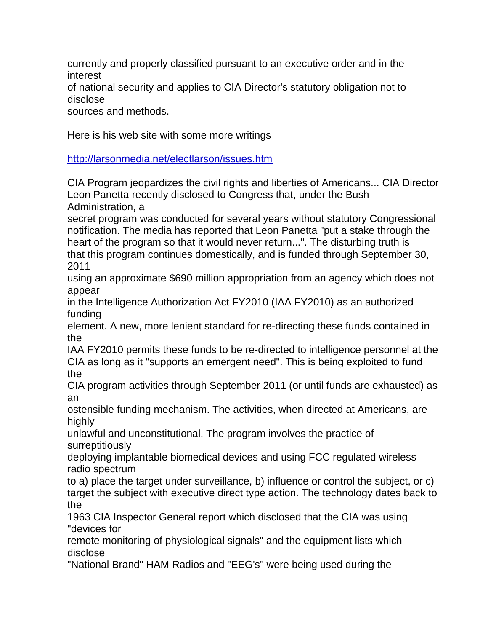currently and properly classified pursuant to an executive order and in the interest

of national security and applies to CIA Director's statutory obligation not to disclose

sources and methods.

Here is his web site with some more writings

http://larsonmedia.net/electlarson/issues.htm

CIA Program jeopardizes the civil rights and liberties of Americans... CIA Director Leon Panetta recently disclosed to Congress that, under the Bush Administration, a

secret program was conducted for several years without statutory Congressional notification. The media has reported that Leon Panetta "put a stake through the heart of the program so that it would never return...". The disturbing truth is that this program continues domestically, and is funded through September 30, 2011

using an approximate \$690 million appropriation from an agency which does not appear

in the Intelligence Authorization Act FY2010 (IAA FY2010) as an authorized funding

element. A new, more lenient standard for re-directing these funds contained in the

IAA FY2010 permits these funds to be re-directed to intelligence personnel at the CIA as long as it "supports an emergent need". This is being exploited to fund the

CIA program activities through September 2011 (or until funds are exhausted) as an

ostensible funding mechanism. The activities, when directed at Americans, are highly

unlawful and unconstitutional. The program involves the practice of surreptitiously

deploying implantable biomedical devices and using FCC regulated wireless radio spectrum

to a) place the target under surveillance, b) influence or control the subject, or c) target the subject with executive direct type action. The technology dates back to the

1963 CIA Inspector General report which disclosed that the CIA was using "devices for

remote monitoring of physiological signals" and the equipment lists which disclose

"National Brand" HAM Radios and "EEG's" were being used during the